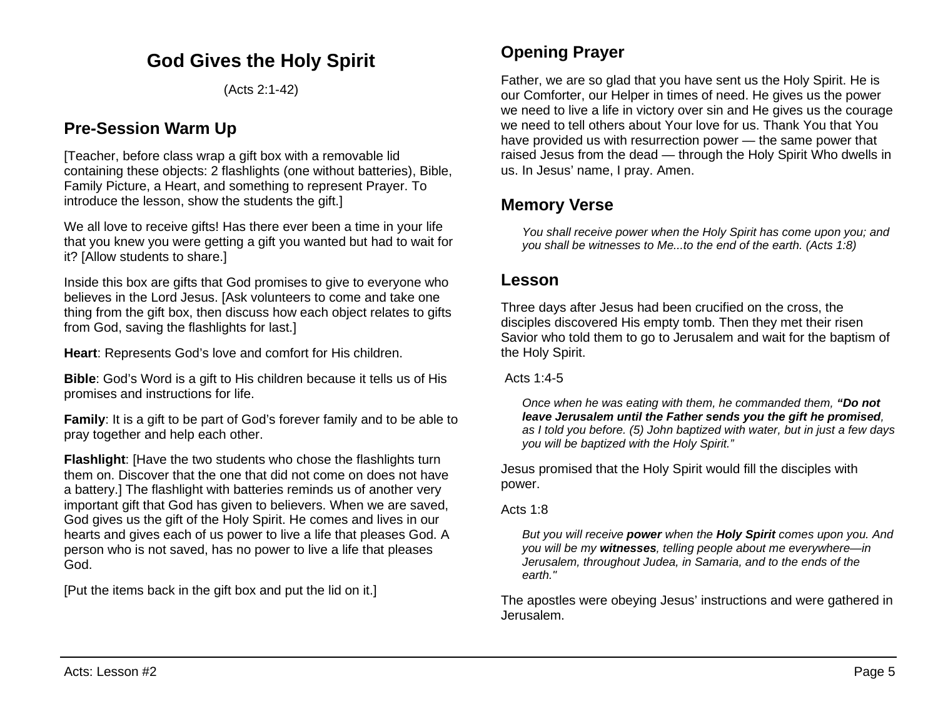# **God Gives the Holy Spirit**

(Acts 2:1-42)

## **Pre-Session Warm Up**

[Teacher, before class wrap a gift box with a removable lid containing these objects: 2 flashlights (one without batteries), Bible, Family Picture, a Heart, and something to represent Prayer. To introduce the lesson, show the students the gift.

We all love to receive gifts! Has there ever been a time in your life that you knew you were getting a gift you wanted but had to wait for it? [Allow students to share.]

Inside this box are gifts that God promises to give to everyone who believes in the Lord Jesus. [Ask volunteers to come and take one thing from the gift box, then discuss how each object relates to gifts from God, saving the flashlights for last.]

**Heart**: Represents God's love and comfort for His children.

**Bible**: God's Word is a gift to His children because it tells us of His promises and instructions for life.

**Family**: It is a gift to be part of God's forever family and to be able to pray together and help each other.

**Flashlight**: [Have the two students who chose the flashlights turn them on. Discover that the one that did not come on does not have a battery.] The flashlight with batteries reminds us of another very important gift that God has given to believers. When we are saved, God gives us the gift of the Holy Spirit. He comes and lives in our hearts and gives each of us power to live a life that pleases God. A person who is not saved, has no power to live a life that pleases God.

[Put the items back in the gift box and put the lid on it.]

## **Opening Prayer**

Father, we are so glad that you have sent us the Holy Spirit. He is our Comforter, our Helper in times of need. He gives us the power we need to live a life in victory over sin and He gives us the courage we need to tell others about Your love for us. Thank You that You have provided us with resurrection power — the same power that raised Jesus from the dead — through the Holy Spirit Who dwells in us. In Jesus' name, I pray. Amen.

## **Memory Verse**

*You shall receive power when the Holy Spirit has come upon you; and you shall be witnesses to Me...to the end of the earth. (Acts 1:8)*

### **Lesson**

Three days after Jesus had been crucified on the cross, the disciples discovered His empty tomb. Then they met their risen Savior who told them to go to Jerusalem and wait for the baptism of the Holy Spirit.

Acts 1:4-5

*Once when he was eating with them, he commanded them, "Do not leave Jerusalem until the Father sends you the gift he promised, as I told you before. (5) John baptized with water, but in just a few days you will be baptized with the Holy Spirit."*

Jesus promised that the Holy Spirit would fill the disciples with power.

Acts 1:8

*But you will receive power when the Holy Spirit comes upon you. And you will be my witnesses, telling people about me everywhere—in Jerusalem, throughout Judea, in Samaria, and to the ends of the earth."* 

The apostles were obeying Jesus' instructions and were gathered in Jerusalem.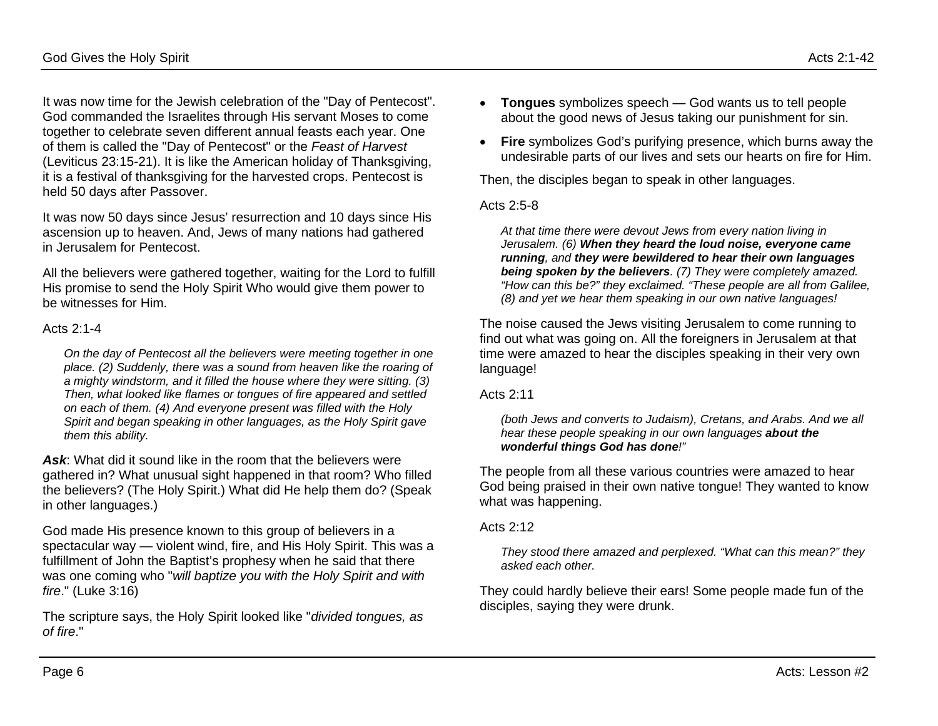It was now time for the Jewish celebration of the "Day of Pentecost". God commanded the Israelites through His servant Moses to come together to celebrate seven different annual feasts each year. One of them is called the "Day of Pentecost" or the *Feast of Harvest* (Leviticus 23:15-21). It is like the American holiday of Thanksgiving, it is a festival of thanksgiving for the harvested crops. Pentecost is held 50 days after Passover.

It was now 50 days since Jesus' resurrection and 10 days since His ascension up to heaven. And, Jews of many nations had gathered in Jerusalem for Pentecost.

All the believers were gathered together, waiting for the Lord to fulfill His promise to send the Holy Spirit Who would give them power to be witnesses for Him.

#### Acts 2:1-4

*On the day of Pentecost all the believers were meeting together in one place. (2) Suddenly, there was a sound from heaven like the roaring of a mighty windstorm, and it filled the house where they were sitting. (3) Then, what looked like flames or tongues of fire appeared and settled on each of them. (4) And everyone present was filled with the Holy Spirit and began speaking in other languages, as the Holy Spirit gave them this ability.*

*Ask*: What did it sound like in the room that the believers were gathered in? What unusual sight happened in that room? Who filled the believers? (The Holy Spirit.) What did He help them do? (Speak in other languages.)

God made His presence known to this group of believers in a spectacular way — violent wind, fire, and His Holy Spirit. This was a fulfillment of John the Baptist's prophesy when he said that there was one coming who "*will baptize you with the Holy Spirit and with fire*." (Luke 3:16)

The scripture says, the Holy Spirit looked like "*divided tongues, as of fire*."

- **Tongues** symbolizes speech God wants us to tell people about the good news of Jesus taking our punishment for sin.
- **Fire** symbolizes God's purifying presence, which burns away the undesirable parts of our lives and sets our hearts on fire for Him.

Then, the disciples began to speak in other languages.

#### Acts 2:5-8

*At that time there were devout Jews from every nation living in Jerusalem. (6) When they heard the loud noise, everyone came running, and they were bewildered to hear their own languages being spoken by the believers. (7) They were completely amazed. "How can this be?" they exclaimed. "These people are all from Galilee, (8) and yet we hear them speaking in our own native languages!*

The noise caused the Jews visiting Jerusalem to come running to find out what was going on. All the foreigners in Jerusalem at that time were amazed to hear the disciples speaking in their very own language!

Acts 2:11

*(both Jews and converts to Judaism), Cretans, and Arabs. And we all hear these people speaking in our own languages about the wonderful things God has done!"*

The people from all these various countries were amazed to hear God being praised in their own native tongue! They wanted to know what was happening.

#### Acts 2:12

*They stood there amazed and perplexed. "What can this mean?" they asked each other.*

They could hardly believe their ears! Some people made fun of the disciples, saying they were drunk.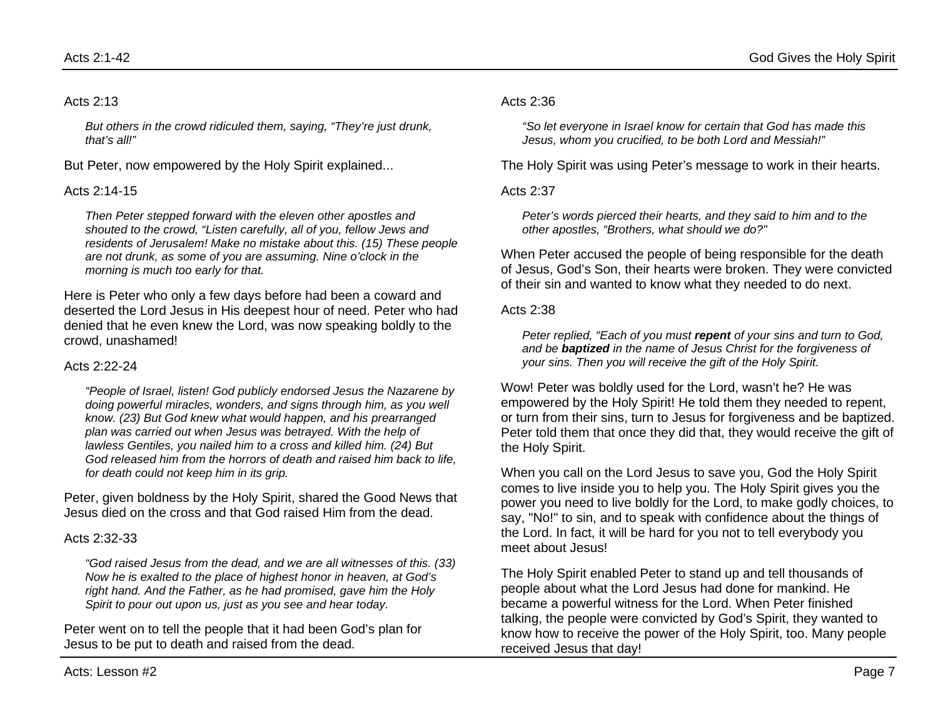#### Acts 2:13

*But others in the crowd ridiculed them, saying, "They're just drunk, that's all!"*

But Peter, now empowered by the Holy Spirit explained...

#### Acts 2:14-15

*Then Peter stepped forward with the eleven other apostles and shouted to the crowd, "Listen carefully, all of you, fellow Jews and residents of Jerusalem! Make no mistake about this. (15) These people are not drunk, as some of you are assuming. Nine o'clock in the morning is much too early for that.*

Here is Peter who only a few days before had been a coward and deserted the Lord Jesus in His deepest hour of need. Peter who had denied that he even knew the Lord, was now speaking boldly to the crowd, unashamed!

#### Acts 2:22-24

*"People of Israel, listen! God publicly endorsed Jesus the Nazarene by doing powerful miracles, wonders, and signs through him, as you well know. (23) But God knew what would happen, and his prearranged plan was carried out when Jesus was betrayed. With the help of lawless Gentiles, you nailed him to a cross and killed him. (24) But God released him from the horrors of death and raised him back to life, for death could not keep him in its grip.*

Peter, given boldness by the Holy Spirit, shared the Good News that Jesus died on the cross and that God raised Him from the dead.

#### Acts 2:32-33

*"God raised Jesus from the dead, and we are all witnesses of this. (33) Now he is exalted to the place of highest honor in heaven, at God's right hand. And the Father, as he had promised, gave him the Holy Spirit to pour out upon us, just as you see and hear today.*

Peter went on to tell the people that it had been God's plan for Jesus to be put to death and raised from the dead.

#### Acts 2:36

*"So let everyone in Israel know for certain that God has made this Jesus, whom you crucified, to be both Lord and Messiah!"*

The Holy Spirit was using Peter's message to work in their hearts.

#### Acts  $2.37$

*Peter's words pierced their hearts, and they said to him and to the other apostles, "Brothers, what should we do?"*

When Peter accused the people of being responsible for the death of Jesus, God's Son, their hearts were broken. They were convicted of their sin and wanted to know what they needed to do next.

#### Acts 2:38

*Peter replied, "Each of you must repent of your sins and turn to God, and be baptized in the name of Jesus Christ for the forgiveness of your sins. Then you will receive the gift of the Holy Spirit.*

Wow! Peter was boldly used for the Lord, wasn't he? He was empowered by the Holy Spirit! He told them they needed to repent, or turn from their sins, turn to Jesus for forgiveness and be baptized. Peter told them that once they did that, they would receive the gift of the Holy Spirit.

When you call on the Lord Jesus to save you, God the Holy Spirit comes to live inside you to help you. The Holy Spirit gives you the power you need to live boldly for the Lord, to make godly choices, to say, "No!" to sin, and to speak with confidence about the things of the Lord. In fact, it will be hard for you not to tell everybody you meet about Jesus!

The Holy Spirit enabled Peter to stand up and tell thousands of people about what the Lord Jesus had done for mankind. He became a powerful witness for the Lord. When Peter finished talking, the people were convicted by God's Spirit, they wanted to know how to receive the power of the Holy Spirit, too. Many people received Jesus that day!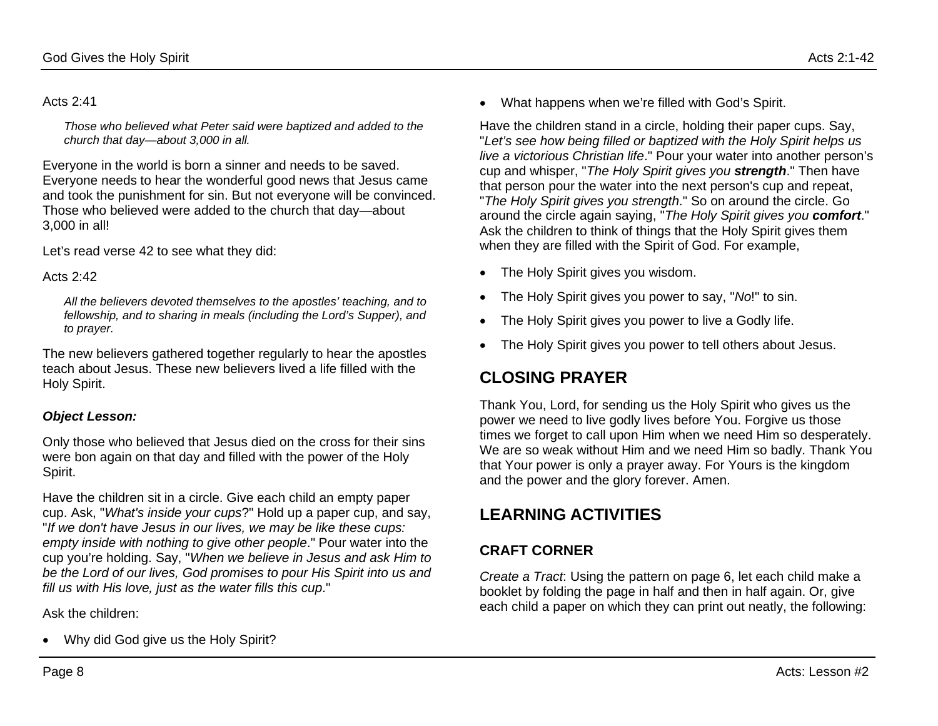#### Acts 2:41

*Those who believed what Peter said were baptized and added to the church that day—about 3,000 in all.*

Everyone in the world is born a sinner and needs to be saved. Everyone needs to hear the wonderful good news that Jesus came and took the punishment for sin. But not everyone will be convinced. Those who believed were added to the church that day—about 3,000 in all!

Let's read verse 42 to see what they did:

### Acts 2:42

*All the believers devoted themselves to the apostles' teaching, and to fellowship, and to sharing in meals (including the Lord's Supper), and to prayer.*

The new believers gathered together regularly to hear the apostles teach about Jesus. These new believers lived a life filled with the Holy Spirit.

### *Object Lesson:*

Only those who believed that Jesus died on the cross for their sins were bon again on that day and filled with the power of the Holy Spirit.

Have the children sit in a circle. Give each child an empty paper cup. Ask, "*What's inside your cups*?" Hold up a paper cup, and say, "*If we don't have Jesus in our lives, we may be like these cups: empty inside with nothing to give other people*." Pour water into the cup you're holding. Say, "*When we believe in Jesus and ask Him to be the Lord of our lives, God promises to pour His Spirit into us and fill us with His love, just as the water fills this cup*."

Ask the children:

• Why did God give us the Holy Spirit?

• What happens when we're filled with God's Spirit.

Have the children stand in a circle, holding their paper cups. Say, "*Let's see how being filled or baptized with the Holy Spirit helps us live a victorious Christian life*." Pour your water into another person's cup and whisper, "*The Holy Spirit gives you strength*." Then have that person pour the water into the next person's cup and repeat, "*The Holy Spirit gives you strength*." So on around the circle. Go around the circle again saying, "*The Holy Spirit gives you comfort*." Ask the children to think of things that the Holy Spirit gives them when they are filled with the Spirit of God. For example,

- The Holy Spirit gives you wisdom.
- The Holy Spirit gives you power to say, "*No*!" to sin.
- The Holy Spirit gives you power to live a Godly life.
- The Holy Spirit gives you power to tell others about Jesus.

# **CLOSING PRAYER**

Thank You, Lord, for sending us the Holy Spirit who gives us the power we need to live godly lives before You. Forgive us those times we forget to call upon Him when we need Him so desperately. We are so weak without Him and we need Him so badly. Thank You that Your power is only a prayer away. For Yours is the kingdom and the power and the glory forever. Amen.

# **LEARNING ACTIVITIES**

## **CRAFT CORNER**

*Create a Tract*: Using the pattern on page 6, let each child make a booklet by folding the page in half and then in half again. Or, give each child a paper on which they can print out neatly, the following: